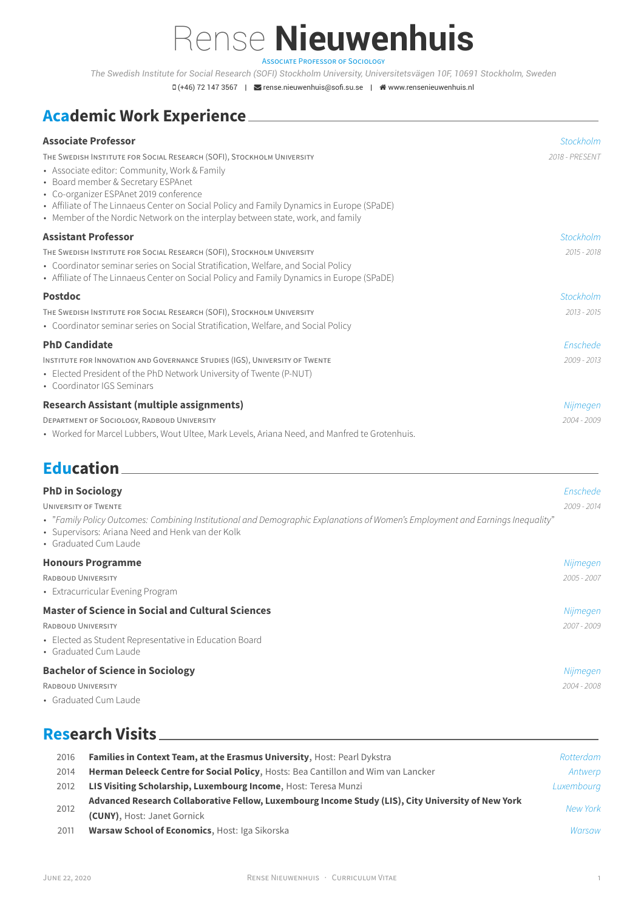*The Swedish Institute for Social Research (SOFI) Stockholm University, Universitetsvägen 10F, 10691 Stockholm, Sweden*

 $D(+46)$  72 147 3567 |  $\blacktriangleright$  rense.nieuwenhuis@sofi.su.se |  $\blacktriangleleft$  www.rensenieuwenhuis.nl

# **Academic Work Experience**

| <b>Associate Professor</b>                                                                                                                                                                                                                                                                                                                                                             | <b>Stockholm</b>        |
|----------------------------------------------------------------------------------------------------------------------------------------------------------------------------------------------------------------------------------------------------------------------------------------------------------------------------------------------------------------------------------------|-------------------------|
| THE SWEDISH INSTITUTE FOR SOCIAL RESEARCH (SOFI), STOCKHOLM UNIVERSITY<br>• Associate editor: Community, Work & Family<br>• Board member & Secretary ESPAnet<br>• Co-organizer ESPAnet 2019 conference<br>• Affiliate of The Linnaeus Center on Social Policy and Family Dynamics in Europe (SPaDE)<br>• Member of the Nordic Network on the interplay between state, work, and family | 2018 - PRESENT          |
| <b>Assistant Professor</b>                                                                                                                                                                                                                                                                                                                                                             | Stockholm               |
| THE SWEDISH INSTITUTE FOR SOCIAL RESEARCH (SOFI), STOCKHOLM UNIVERSITY<br>• Coordinator seminar series on Social Stratification, Welfare, and Social Policy<br>• Affiliate of The Linnaeus Center on Social Policy and Family Dynamics in Europe (SPaDE)                                                                                                                               | $2015 - 2018$           |
| <b>Postdoc</b>                                                                                                                                                                                                                                                                                                                                                                         | Stockholm               |
| THE SWEDISH INSTITUTE FOR SOCIAL RESEARCH (SOFI), STOCKHOLM UNIVERSITY<br>• Coordinator seminar series on Social Stratification, Welfare, and Social Policy                                                                                                                                                                                                                            | $2013 - 2015$           |
| <b>PhD Candidate</b>                                                                                                                                                                                                                                                                                                                                                                   | Enschede                |
| INSTITUTE FOR INNOVATION AND GOVERNANCE STUDIES (IGS), UNIVERSITY OF TWENTE<br>• Elected President of the PhD Network University of Twente (P-NUT)<br>• Coordinator IGS Seminars                                                                                                                                                                                                       | 2009 - 2013             |
| <b>Research Assistant (multiple assignments)</b>                                                                                                                                                                                                                                                                                                                                       | Nijmegen                |
| DEPARTMENT OF SOCIOLOGY, RADBOUD UNIVERSITY<br>• Worked for Marcel Lubbers, Wout Ultee, Mark Levels, Ariana Need, and Manfred te Grotenhuis.                                                                                                                                                                                                                                           | 2004 - 2009             |
| <b>Education</b>                                                                                                                                                                                                                                                                                                                                                                       |                         |
| <b>PhD in Sociology</b><br><b>UNIVERSITY OF TWENTE</b><br>• "Family Policy Outcomes: Combining Institutional and Demographic Explanations of Women's Employment and Earnings Inequality"<br>• Supervisors: Ariana Need and Henk van der Kolk<br>• Graduated Cum Laude                                                                                                                  | Enschede<br>2009 - 2014 |

### **Honours Programme** *Nijmegen*

| RADBOUD UNIVERSITY                | 2005 - 2007 |
|-----------------------------------|-------------|
| • Extracurricular Evening Program |             |

## **Master of Science in Social and Cultural Sciences** *Nijmegen* RADBOUD UNIVERSITY *2007 - 2009* • Elected as Student Representative in Education Board • Graduated Cum Laude

| <b>Bachelor of Science in Sociology</b> |             |
|-----------------------------------------|-------------|
| RADBOUD UNIVERSITY                      | 2004 - 2008 |
| • Graduated Cum Laude                   |             |

# **Research Visits**

| 2016 | Families in Context Team, at the Erasmus University, Host: Pearl Dykstra                           | Rotterdam  |
|------|----------------------------------------------------------------------------------------------------|------------|
| 2014 | Herman Deleeck Centre for Social Policy, Hosts: Bea Cantillon and Wim van Lancker                  | Antwerp    |
| 2012 | LIS Visiting Scholarship, Luxembourg Income, Host: Teresa Munzi                                    | Luxembourg |
|      | Advanced Research Collaborative Fellow, Luxembourg Income Study (LIS), City University of New York | New York   |
| 2012 | (CUNY), Host: Janet Gornick                                                                        |            |
| 2011 | <b>Warsaw School of Economics, Host: Iga Sikorska</b>                                              | Warsaw     |
|      |                                                                                                    |            |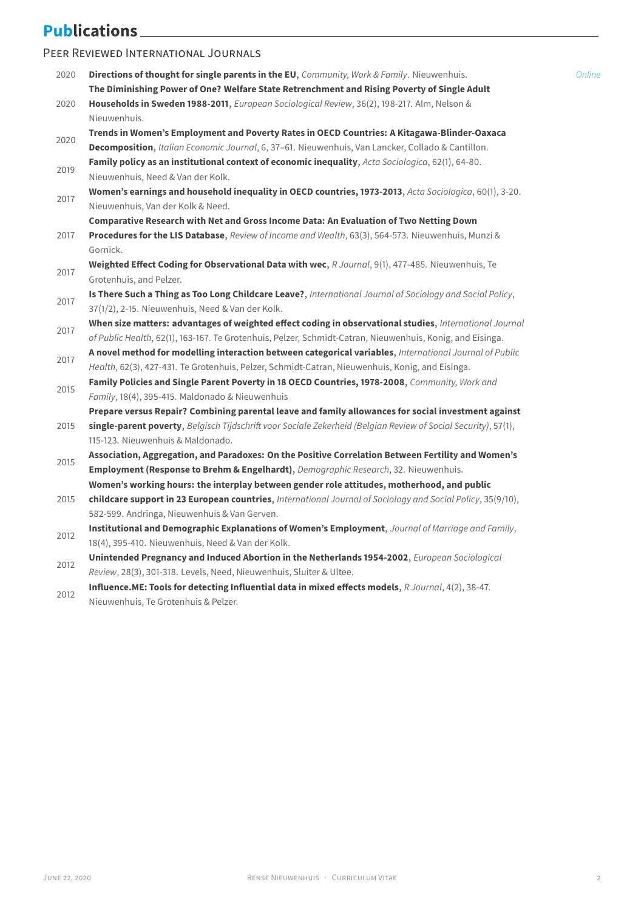# **Publications**

### PEER REVIEWED INTERNATIONAL JOURNALS

| 2020 | Directions of thought for single parents in the EU, Community, Work & Family. Nieuwenhuis.                                                                                                 | Online |
|------|--------------------------------------------------------------------------------------------------------------------------------------------------------------------------------------------|--------|
| 2020 | The Diminishing Power of One? Welfare State Retrenchment and Rising Poverty of Single Adult<br>Households in Sweden 1988-2011, European Sociological Review, 36(2), 198-217. Alm, Nelson & |        |
|      | Nieuwenhuis.                                                                                                                                                                               |        |
|      | Trends in Women's Employment and Poverty Rates in OECD Countries: A Kitagawa-Blinder-Oaxaca                                                                                                |        |
| 2020 | Decomposition, Italian Economic Journal, 6, 37-61. Nieuwenhuis, Van Lancker, Collado & Cantillon.                                                                                          |        |
|      | Family policy as an institutional context of economic inequality, Acta Sociologica, 62(1), 64-80.                                                                                          |        |
| 2019 | Nieuwenhuis, Need & Van der Kolk.                                                                                                                                                          |        |
|      | Women's earnings and household inequality in OECD countries, 1973-2013, Acta Sociologica, 60(1), 3-20.                                                                                     |        |
| 2017 | Nieuwenhuis, Van der Kolk & Need.                                                                                                                                                          |        |
|      | Comparative Research with Net and Gross Income Data: An Evaluation of Two Netting Down                                                                                                     |        |
| 2017 | Procedures for the LIS Database, Review of Income and Wealth, 63(3), 564-573. Nieuwenhuis, Munzi &                                                                                         |        |
|      | Gornick.                                                                                                                                                                                   |        |
|      | Weighted Effect Coding for Observational Data with wec, R Journal, 9(1), 477-485. Nieuwenhuis, Te                                                                                          |        |
| 2017 | Grotenhuis, and Pelzer.                                                                                                                                                                    |        |
|      | Is There Such a Thing as Too Long Childcare Leave?, International Journal of Sociology and Social Policy,                                                                                  |        |
| 2017 | 37(1/2), 2-15. Nieuwenhuis, Need & Van der Kolk.                                                                                                                                           |        |
|      | When size matters: advantages of weighted effect coding in observational studies, International Journal                                                                                    |        |
| 2017 | of Public Health, 62(1), 163-167. Te Grotenhuis, Pelzer, Schmidt-Catran, Nieuwenhuis, Konig, and Eisinga.                                                                                  |        |
|      | A novel method for modelling interaction between categorical variables, International Journal of Public                                                                                    |        |
| 2017 | Health, 62(3), 427-431. Te Grotenhuis, Pelzer, Schmidt-Catran, Nieuwenhuis, Konig, and Eisinga.                                                                                            |        |
|      | Family Policies and Single Parent Poverty in 18 OECD Countries, 1978-2008, Community, Work and                                                                                             |        |
| 2015 | Family, 18(4), 395-415. Maldonado & Nieuwenhuis                                                                                                                                            |        |
|      | Prepare versus Repair? Combining parental leave and family allowances for social investment against                                                                                        |        |
| 2015 | single-parent poverty, Belgisch Tijdschrift voor Sociale Zekerheid (Belgian Review of Social Security), 57(1),                                                                             |        |
|      | 115-123. Nieuwenhuis & Maldonado.                                                                                                                                                          |        |
|      | Association, Aggregation, and Paradoxes: On the Positive Correlation Between Fertility and Women's                                                                                         |        |
| 2015 | Employment (Response to Brehm & Engelhardt), Demographic Research, 32. Nieuwenhuis.                                                                                                        |        |
|      | Women's working hours: the interplay between gender role attitudes, motherhood, and public                                                                                                 |        |
| 2015 | childcare support in 23 European countries, International Journal of Sociology and Social Policy, 35(9/10),                                                                                |        |
|      | 582-599. Andringa, Nieuwenhuis & Van Gerven.                                                                                                                                               |        |
|      | Institutional and Demographic Explanations of Women's Employment, Journal of Marriage and Family,                                                                                          |        |
| 2012 | 18(4), 395-410. Nieuwenhuis, Need & Van der Kolk.                                                                                                                                          |        |
|      | Unintended Pregnancy and Induced Abortion in the Netherlands 1954-2002, European Sociological                                                                                              |        |
| 2012 | Review, 28(3), 301-318. Levels, Need, Nieuwenhuis, Sluiter & Ultee.                                                                                                                        |        |

2012 **Influence.ME: Tools for detecting Influential data in mixed effects models**, *R Journal*, 4(2), 38-47. Nieuwenhuis, Te Grotenhuis & Pelzer.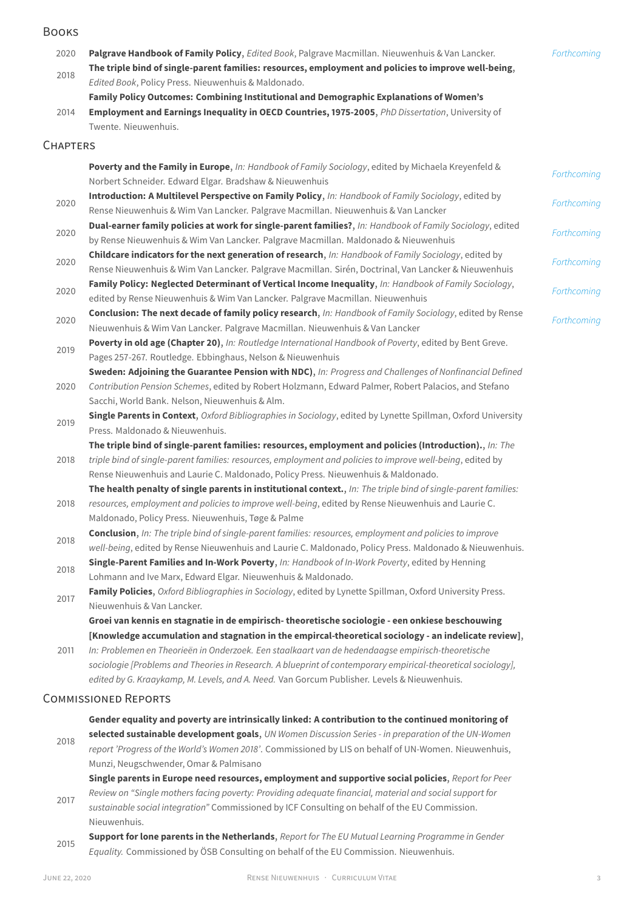### BOOKS

| 2020            | Palgrave Handbook of Family Policy, Edited Book, Palgrave Macmillan. Nieuwenhuis & Van Lancker.<br>The triple bind of single-parent families: resources, employment and policies to improve well-being,              | Forthcoming |
|-----------------|----------------------------------------------------------------------------------------------------------------------------------------------------------------------------------------------------------------------|-------------|
| 2018            | Edited Book, Policy Press. Nieuwenhuis & Maldonado.                                                                                                                                                                  |             |
|                 | Family Policy Outcomes: Combining Institutional and Demographic Explanations of Women's                                                                                                                              |             |
| 2014            | Employment and Earnings Inequality in OECD Countries, 1975-2005, PhD Dissertation, University of                                                                                                                     |             |
|                 | Twente. Nieuwenhuis.                                                                                                                                                                                                 |             |
| <b>CHAPTERS</b> |                                                                                                                                                                                                                      |             |
|                 | Poverty and the Family in Europe, In: Handbook of Family Sociology, edited by Michaela Kreyenfeld &                                                                                                                  | Forthcoming |
|                 | Norbert Schneider. Edward Elgar. Bradshaw & Nieuwenhuis                                                                                                                                                              |             |
| 2020            | Introduction: A Multilevel Perspective on Family Policy, In: Handbook of Family Sociology, edited by                                                                                                                 | Forthcoming |
|                 | Rense Nieuwenhuis & Wim Van Lancker. Palgrave Macmillan. Nieuwenhuis & Van Lancker                                                                                                                                   |             |
| 2020            | Dual-earner family policies at work for single-parent families?, In: Handbook of Family Sociology, edited                                                                                                            | Forthcoming |
|                 | by Rense Nieuwenhuis & Wim Van Lancker. Palgrave Macmillan. Maldonado & Nieuwenhuis                                                                                                                                  |             |
| 2020            | Childcare indicators for the next generation of research, In: Handbook of Family Sociology, edited by                                                                                                                | Forthcoming |
|                 | Rense Nieuwenhuis & Wim Van Lancker. Palgrave Macmillan. Sirén, Doctrinal, Van Lancker & Nieuwenhuis                                                                                                                 |             |
| 2020            | Family Policy: Neglected Determinant of Vertical Income Inequality, In: Handbook of Family Sociology,                                                                                                                | Forthcoming |
|                 | edited by Rense Nieuwenhuis & Wim Van Lancker. Palgrave Macmillan. Nieuwenhuis                                                                                                                                       |             |
| 2020            | Conclusion: The next decade of family policy research, In: Handbook of Family Sociology, edited by Rense                                                                                                             | Forthcoming |
|                 | Nieuwenhuis & Wim Van Lancker. Palgrave Macmillan. Nieuwenhuis & Van Lancker                                                                                                                                         |             |
| 2019            | Poverty in old age (Chapter 20), In: Routledge International Handbook of Poverty, edited by Bent Greve.                                                                                                              |             |
|                 | Pages 257-267. Routledge. Ebbinghaus, Nelson & Nieuwenhuis                                                                                                                                                           |             |
|                 | Sweden: Adjoining the Guarantee Pension with NDC), In: Progress and Challenges of Nonfinancial Defined                                                                                                               |             |
| 2020            | Contribution Pension Schemes, edited by Robert Holzmann, Edward Palmer, Robert Palacios, and Stefano                                                                                                                 |             |
|                 | Sacchi, World Bank. Nelson, Nieuwenhuis & Alm.                                                                                                                                                                       |             |
| 2019            | Single Parents in Context, Oxford Bibliographies in Sociology, edited by Lynette Spillman, Oxford University                                                                                                         |             |
|                 | Press. Maldonado & Nieuwenhuis.                                                                                                                                                                                      |             |
| 2018            | The triple bind of single-parent families: resources, employment and policies (Introduction)., In: The<br>triple bind of single-parent families: resources, employment and policies to improve well-being, edited by |             |
|                 | Rense Nieuwenhuis and Laurie C. Maldonado, Policy Press. Nieuwenhuis & Maldonado.                                                                                                                                    |             |
|                 | The health penalty of single parents in institutional context., In: The triple bind of single-parent families:                                                                                                       |             |
| 2018            | resources, employment and policies to improve well-being, edited by Rense Nieuwenhuis and Laurie C.                                                                                                                  |             |
|                 | Maldonado, Policy Press. Nieuwenhuis, Tøge & Palme                                                                                                                                                                   |             |
|                 | Conclusion, In: The triple bind of single-parent families: resources, employment and policies to improve                                                                                                             |             |
| 2018            | well-being, edited by Rense Nieuwenhuis and Laurie C. Maldonado, Policy Press. Maldonado & Nieuwenhuis.                                                                                                              |             |
|                 | Single-Parent Families and In-Work Poverty, In: Handbook of In-Work Poverty, edited by Henning                                                                                                                       |             |
| 2018            | Lohmann and Ive Marx, Edward Elgar. Nieuwenhuis & Maldonado.                                                                                                                                                         |             |
|                 | Family Policies, Oxford Bibliographies in Sociology, edited by Lynette Spillman, Oxford University Press.                                                                                                            |             |
| 2017            | Nieuwenhuis & Van Lancker.                                                                                                                                                                                           |             |
|                 | Groei van kennis en stagnatie in de empirisch- theoretische sociologie - een onkiese beschouwing                                                                                                                     |             |
|                 | [Knowledge accumulation and stagnation in the empircal-theoretical sociology - an indelicate review],                                                                                                                |             |
| 2011            | In: Problemen en Theorieën in Onderzoek. Een staalkaart van de hedendaagse empirisch-theoretische                                                                                                                    |             |
|                 | sociologie [Problems and Theories in Research. A blueprint of contemporary empirical-theoretical sociology],                                                                                                         |             |
|                 | edited by G. Kraaykamp, M. Levels, and A. Need. Van Gorcum Publisher. Levels & Nieuwenhuis.                                                                                                                          |             |
|                 | <b>COMMISSIONED REPORTS</b>                                                                                                                                                                                          |             |
|                 |                                                                                                                                                                                                                      |             |

2018 **Gender equality and poverty are intrinsically linked: A contribution to the continued monitoring of selected sustainable development goals**, *UN Women Discussion Series - in preparation of the UN-Women report 'Progress of the World's Women 2018'*. Commissioned by LIS on behalf of UN-Women. Nieuwenhuis, Munzi, Neugschwender, Omar & Palmisano

2017 **Single parents in Europe need resources, employment and supportive social policies**, *Report for Peer Review on "Single mothers facing poverty: Providing adequate financial, material and social support for sustainable social integration"* Commissioned by ICF Consulting on behalf of the EU Commission.

Nieuwenhuis. 2015 **Support for lone parents in the Netherlands**, *Report for The EU Mutual Learning Programme in Gender Equality.* Commissioned by ÖSB Consulting on behalf of the EU Commission. Nieuwenhuis.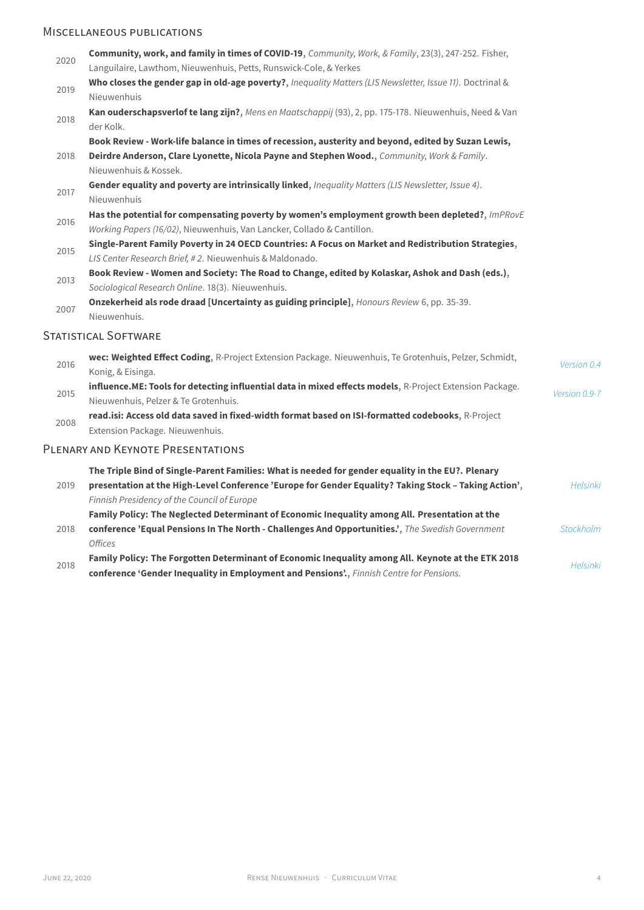## MISCELLANEOUS PUBLICATIONS

| 2020 | Community, work, and family in times of COVID-19, Community, Work, & Family, 23(3), 247-252. Fisher,<br>Languilaire, Lawthom, Nieuwenhuis, Petts, Runswick-Cole, & Yerkes                                  |                |
|------|------------------------------------------------------------------------------------------------------------------------------------------------------------------------------------------------------------|----------------|
| 2019 | Who closes the gender gap in old-age poverty?, Inequality Matters (LIS Newsletter, Issue 11). Doctrinal &<br>Nieuwenhuis                                                                                   |                |
| 2018 | Kan ouderschapsverlof te lang zijn?, Mens en Maatschappij (93), 2, pp. 175-178. Nieuwenhuis, Need & Van<br>der Kolk.                                                                                       |                |
|      | Book Review - Work-life balance in times of recession, austerity and beyond, edited by Suzan Lewis,                                                                                                        |                |
| 2018 | Deirdre Anderson, Clare Lyonette, Nicola Payne and Stephen Wood., Community, Work & Family.<br>Nieuwenhuis & Kossek.                                                                                       |                |
| 2017 | Gender equality and poverty are intrinsically linked, Inequality Matters (LIS Newsletter, Issue 4).<br>Nieuwenhuis                                                                                         |                |
| 2016 | Has the potential for compensating poverty by women's employment growth been depleted?, ImPRovE<br>Working Papers (16/02), Nieuwenhuis, Van Lancker, Collado & Cantillon.                                  |                |
| 2015 | Single-Parent Family Poverty in 24 OECD Countries: A Focus on Market and Redistribution Strategies,<br>LIS Center Research Brief, #2. Nieuwenhuis & Maldonado.                                             |                |
| 2013 | Book Review - Women and Society: The Road to Change, edited by Kolaskar, Ashok and Dash (eds.),<br>Sociological Research Online. 18(3). Nieuwenhuis.                                                       |                |
| 2007 | Onzekerheid als rode draad [Uncertainty as guiding principle], Honours Review 6, pp. 35-39.<br>Nieuwenhuis.                                                                                                |                |
|      | STATISTICAL SOFTWARE                                                                                                                                                                                       |                |
| 2016 | wec: Weighted Effect Coding, R-Project Extension Package. Nieuwenhuis, Te Grotenhuis, Pelzer, Schmidt,<br>Konig, & Eisinga.                                                                                | Version 0.4    |
| 2015 | influence.ME: Tools for detecting influential data in mixed effects models, R-Project Extension Package.<br>Nieuwenhuis, Pelzer & Te Grotenhuis.                                                           | Version 0.9-7  |
| 2008 | read.isi: Access old data saved in fixed-width format based on ISI-formatted codebooks, R-Project<br>Extension Package. Nieuwenhuis.                                                                       |                |
|      | PLENARY AND KEYNOTE PRESENTATIONS                                                                                                                                                                          |                |
| 2019 | The Triple Bind of Single-Parent Families: What is needed for gender equality in the EU?. Plenary<br>presentation at the High-Level Conference 'Europe for Gender Equality? Taking Stock - Taking Action', | Helsink        |
|      | Finnish Presidency of the Council of Europe                                                                                                                                                                |                |
| 2018 | Family Policy: The Neglected Determinant of Economic Inequality among All. Presentation at the<br>conference 'Equal Pensions In The North - Challenges And Opportunities.', The Swedish Government         | Stockholm      |
|      | <b>Offices</b><br>Family Policy: The Forgotten Determinant of Economic Inequality among All. Keynote at the ETK 2018                                                                                       |                |
| 2018 | conference 'Gender Inequality in Employment and Pensions', Finnish Centre for Pensions.                                                                                                                    | <b>Helsink</b> |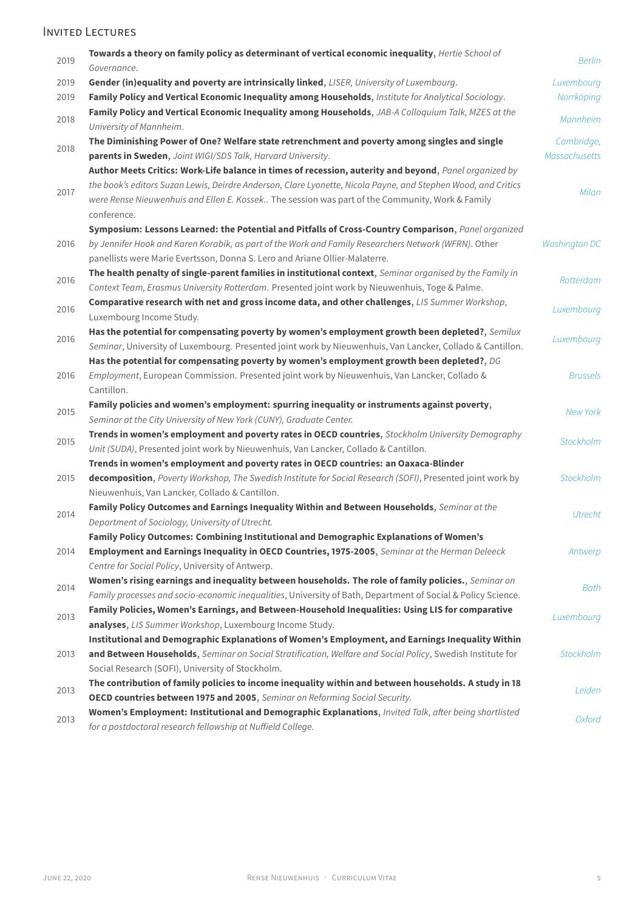## INVITED LECTURES

| 2019 | Towards a theory on family policy as determinant of vertical economic inequality, Hertie School of<br>Governance.                                                                                           | <b>Berlin</b>               |
|------|-------------------------------------------------------------------------------------------------------------------------------------------------------------------------------------------------------------|-----------------------------|
| 2019 | Gender (in)equality and poverty are intrinsically linked, LISER, University of Luxembourg.                                                                                                                  | Luxembourg                  |
| 2019 | Family Policy and Vertical Economic Inequality among Households, Institute for Analytical Sociology.                                                                                                        | Norrköping                  |
| 2018 | Family Policy and Vertical Economic Inequality among Households, JAB-A Colloquium Talk, MZES at the<br>University of Mannheim.                                                                              | Mannheim                    |
| 2018 | The Diminishing Power of One? Welfare state retrenchment and poverty among singles and single<br>parents in Sweden, Joint WIGI/SDS Talk, Harvard University.                                                | Cambridge,<br>Massachusetts |
|      | Author Meets Critics: Work-Life balance in times of recession, auterity and beyond, Panel organized by                                                                                                      |                             |
|      | the book's editors Suzan Lewis, Deirdre Anderson, Clare Lyonette, Nicola Payne, and Stephen Wood, and Critics                                                                                               |                             |
| 2017 | were Rense Nieuwenhuis and Ellen E. Kossek The session was part of the Community, Work & Family<br>conference.                                                                                              | Milan                       |
|      | Symposium: Lessons Learned: the Potential and Pitfalls of Cross-Country Comparison, Panel organized                                                                                                         |                             |
| 2016 | by Jennifer Hook and Karen Korabik, as part of the Work and Family Researchers Network (WFRN). Other                                                                                                        | <b>Washington DC</b>        |
|      | panellists were Marie Evertsson, Donna S. Lero and Ariane Ollier-Malaterre.                                                                                                                                 |                             |
| 2016 | The health penalty of single-parent families in institutional context, Seminar organised by the Family in<br>Context Team, Erasmus University Rotterdam. Presented joint work by Nieuwenhuis, Toge & Palme. | Rotterdam                   |
| 2016 | Comparative research with net and gross income data, and other challenges, LIS Summer Workshop,<br>Luxembourg Income Study.                                                                                 | Luxembourg                  |
|      | Has the potential for compensating poverty by women's employment growth been depleted?, Semilux                                                                                                             |                             |
| 2016 | Seminar, University of Luxembourg. Presented joint work by Nieuwenhuis, Van Lancker, Collado & Cantillon.                                                                                                   | Luxembourg                  |
|      | Has the potential for compensating poverty by women's employment growth been depleted?, DG                                                                                                                  |                             |
| 2016 | Employment, European Commission. Presented joint work by Nieuwenhuis, Van Lancker, Collado &                                                                                                                | <b>Brussels</b>             |
|      | Cantillon.                                                                                                                                                                                                  |                             |
|      | Family policies and women's employment: spurring inequality or instruments against poverty,                                                                                                                 |                             |
| 2015 | Seminar at the City University of New York (CUNY), Graduate Center.                                                                                                                                         | <b>New York</b>             |
|      | Trends in women's employment and poverty rates in OECD countries, Stockholm University Demography                                                                                                           |                             |
| 2015 | Unit (SUDA), Presented joint work by Nieuwenhuis, Van Lancker, Collado & Cantillon.                                                                                                                         | Stockholm                   |
|      | Trends in women's employment and poverty rates in OECD countries: an Oaxaca-Blinder                                                                                                                         |                             |
| 2015 | decomposition, Poverty Workshop, The Swedish Institute for Social Research (SOFI), Presented joint work by                                                                                                  | Stockholm                   |
|      | Nieuwenhuis, Van Lancker, Collado & Cantillon.                                                                                                                                                              |                             |
|      | Family Policy Outcomes and Earnings Inequality Within and Between Households, Seminar at the                                                                                                                |                             |
| 2014 | Department of Sociology, University of Utrecht.                                                                                                                                                             | Utrecht                     |
|      | Family Policy Outcomes: Combining Institutional and Demographic Explanations of Women's                                                                                                                     |                             |
| 2014 | Employment and Earnings Inequality in OECD Countries, 1975-2005, Seminar at the Herman Deleeck                                                                                                              | Antwerp                     |
|      | Centre for Social Policy, University of Antwerp.                                                                                                                                                            |                             |
|      | Women's rising earnings and inequality between households. The role of family policies., Seminar on                                                                                                         |                             |
| 2014 | Family processes and socio-economic inequalities, University of Bath, Department of Social & Policy Science.                                                                                                | Bath                        |
|      | Family Policies, Women's Earnings, and Between-Household Inequalities: Using LIS for comparative                                                                                                            |                             |
| 2013 | analyses, LIS Summer Workshop, Luxembourg Income Study.                                                                                                                                                     | Luxembourg                  |
|      | Institutional and Demographic Explanations of Women's Employment, and Earnings Inequality Within                                                                                                            |                             |
| 2013 | and Between Households, Seminar on Social Stratification, Welfare and Social Policy, Swedish Institute for                                                                                                  | Stockholm                   |
|      | Social Research (SOFI), University of Stockholm.                                                                                                                                                            |                             |
|      | The contribution of family policies to income inequality within and between households. A study in 18                                                                                                       |                             |
| 2013 | OECD countries between 1975 and 2005, Seminar on Reforming Social Security.                                                                                                                                 | Leiden                      |
|      | Women's Employment: Institutional and Demographic Explanations, Invited Talk, after being shortlisted                                                                                                       |                             |
| 2013 | for a postdoctoral research fellowship at Nuffield College.                                                                                                                                                 | Oxford                      |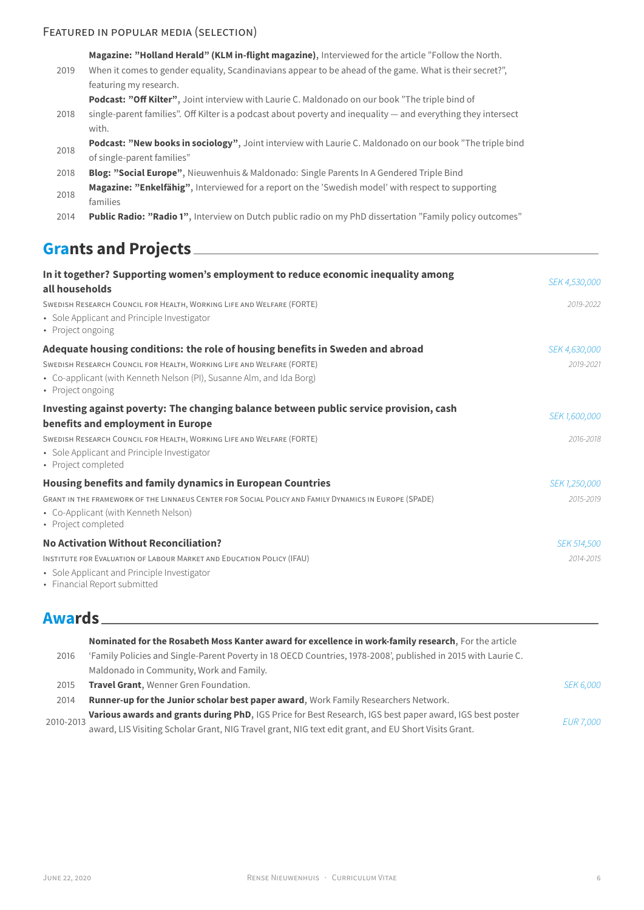## FEATURED IN POPULAR MEDIA (SELECTION)

|      | Magazine: "Holland Herald" (KLM in-flight magazine), Interviewed for the article "Follow the North.                    |  |  |
|------|------------------------------------------------------------------------------------------------------------------------|--|--|
| 2019 | When it comes to gender equality, Scandinavians appear to be ahead of the game. What is their secret?",                |  |  |
|      | featuring my research.                                                                                                 |  |  |
|      | <b>Podcast: "Off Kilter",</b> Joint interview with Laurie C. Maldonado on our book "The triple bind of                 |  |  |
| 2018 | single-parent families". Off Kilter is a podcast about poverty and inequality — and everything they intersect<br>with. |  |  |
|      | Podcast: "New books in sociology", Joint interview with Laurie C. Maldonado on our book "The triple bind               |  |  |
| 2018 | of single-parent families"                                                                                             |  |  |
| 2018 | Blog: "Social Europe", Nieuwenhuis & Maldonado: Single Parents In A Gendered Triple Bind                               |  |  |
| 2018 | Magazine: "Enkelfähig", Interviewed for a report on the 'Swedish model' with respect to supporting                     |  |  |
|      | families                                                                                                               |  |  |
| 2014 | <b>Public Radio: "Radio 1", Interview on Dutch public radio on my PhD dissertation "Family policy outcomes"</b>        |  |  |
|      |                                                                                                                        |  |  |
|      | <b>Grants and Projects</b>                                                                                             |  |  |

| In it together? Supporting women's employment to reduce economic inequality among<br>all households                         | SEK 4,530,000      |
|-----------------------------------------------------------------------------------------------------------------------------|--------------------|
| SWEDISH RESEARCH COUNCIL FOR HEALTH, WORKING LIFE AND WELFARE (FORTE)                                                       | 2019-2022          |
| • Sole Applicant and Principle Investigator<br>• Project ongoing                                                            |                    |
| Adequate housing conditions: the role of housing benefits in Sweden and abroad                                              | SEK 4,630,000      |
| SWEDISH RESEARCH COUNCIL FOR HEALTH, WORKING LIFE AND WELFARE (FORTE)                                                       | 2019-2021          |
| • Co-applicant (with Kenneth Nelson (PI), Susanne Alm, and Ida Borg)<br>• Project ongoing                                   |                    |
| Investing against poverty: The changing balance between public service provision, cash<br>benefits and employment in Europe | SEK 1,600,000      |
| SWEDISH RESEARCH COUNCIL FOR HEALTH, WORKING LIFE AND WELFARE (FORTE)                                                       | 2016-2018          |
| • Sole Applicant and Principle Investigator<br>• Project completed                                                          |                    |
| Housing benefits and family dynamics in European Countries                                                                  | SEK 1,250,000      |
| GRANT IN THE FRAMEWORK OF THE LINNAEUS CENTER FOR SOCIAL POLICY AND FAMILY DYNAMICS IN EUROPE (SPADE)                       | 2015-2019          |
| • Co-Applicant (with Kenneth Nelson)<br>• Project completed                                                                 |                    |
| <b>No Activation Without Reconciliation?</b>                                                                                | <b>SEK 514,500</b> |
| INSTITUTE FOR EVALUATION OF LABOUR MARKET AND EDUCATION POLICY (IFAU)                                                       | 2014-2015          |
| • Sole Applicant and Principle Investigator                                                                                 |                    |

• Financial Report submitted

# **Awards**

|           | Nominated for the Rosabeth Moss Kanter award for excellence in work-family research, For the article          |                  |
|-----------|---------------------------------------------------------------------------------------------------------------|------------------|
| 2016      | 'Family Policies and Single-Parent Poverty in 18 OECD Countries, 1978-2008', published in 2015 with Laurie C. |                  |
|           | Maldonado in Community, Work and Family.                                                                      |                  |
| 2015      | Travel Grant, Wenner Gren Foundation.                                                                         | <i>SEK 6,000</i> |
| 2014      | Runner-up for the Junior scholar best paper award, Work Family Researchers Network.                           |                  |
| 2010-2013 | Various awards and grants during PhD, IGS Price for Best Research, IGS best paper award, IGS best poster      | <b>EUR 7,000</b> |
|           | award, LIS Visiting Scholar Grant, NIG Travel grant, NIG text edit grant, and EU Short Visits Grant.          |                  |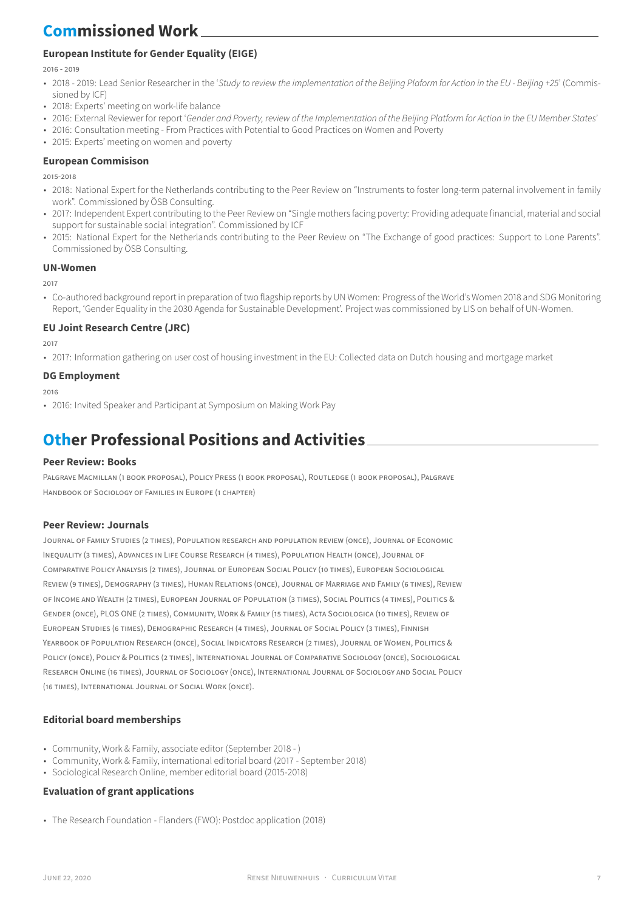# **Commissioned Work**

## **European Institute for Gender Equality (EIGE)**

2016 - 2019

- 2018 2019: Lead Senior Researcher in the '*Study to review the implementation of the Beijing Plaform for Action in the EU Beijing +25*' (Commissioned by ICF)
- 2018: Experts' meeting on work-life balance
- 2016: External Reviewer for report '*Gender and Poverty, review of the Implementation of the Beijing Platform for Action in the EU Member States*'
- 2016: Consultation meeting From Practices with Potential to Good Practices on Women and Poverty
- 2015: Experts' meeting on women and poverty

### **European Commisison**

2015-2018

- 2018: National Expert for the Netherlands contributing to the Peer Review on "Instruments to foster long-term paternal involvement in family work". Commissioned by ÖSB Consulting.
- 2017: Independent Expert contributing to the Peer Review on "Single mothers facing poverty: Providing adequate financial, material and social support for sustainable social integration". Commissioned by ICF
- 2015: National Expert for the Netherlands contributing to the Peer Review on "The Exchange of good practices: Support to Lone Parents". Commissioned by ÖSB Consulting.

#### **UN-Women**

2017

• Co-authored background report in preparation of two flagship reports by UN Women: Progress of the World's Women 2018 and SDG Monitoring Report, 'Gender Equality in the 2030 Agenda for Sustainable Development'. Project was commissioned by LIS on behalf of UN-Women.

### **EU Joint Research Centre (JRC)**

2017

• 2017: Information gathering on user cost of housing investment in the EU: Collected data on Dutch housing and mortgage market

### **DG Employment**

2016

• 2016: Invited Speaker and Participant at Symposium on Making Work Pay

# **Other Professional Positions and Activities**

### **Peer Review: Books**

PALGRAVE MACMILLAN (1 BOOK PROPOSAL), POLICY PRESS (1 BOOK PROPOSAL), ROUTLEDGE (1 BOOK PROPOSAL), PALGRAVE HANDBOOK OF SOCIOLOGY OF FAMILIES IN EUROPE (1 CHAPTER)

### **Peer Review: Journals**

JOURNAL OF FAMILY STUDIES (2 TIMES), POPULATION RESEARCH AND POPULATION REVIEW (ONCE), JOURNAL OF ECONOMIC INEQUALITY (3 TIMES), ADVANCES IN LIFE COURSE RESEARCH (4 TIMES), POPULATION HEALTH (ONCE), JOURNAL OF COMPARATIVE POLICY ANALYSIS (2 TIMES), JOURNAL OF EUROPEAN SOCIAL POLICY (10 TIMES), EUROPEAN SOCIOLOGICAL REVIEW (9 TIMES), DEMOGRAPHY (3 TIMES), HUMAN RELATIONS (ONCE), JOURNAL OF MARRIAGE AND FAMILY (6 TIMES), REVIEW OF INCOME AND WEALTH (2 TIMES), EUROPEAN JOURNAL OF POPULATION (3 TIMES), SOCIAL POLITICS (4 TIMES), POLITICS & GENDER (ONCE), PLOS ONE (2 TIMES), COMMUNITY, WORK & FAMILY (15 TIMES), ACTA SOCIOLOGICA (10 TIMES), REVIEW OF EUROPEAN STUDIES (6 TIMES), DEMOGRAPHIC RESEARCH (4 TIMES), JOURNAL OF SOCIAL POLICY (3 TIMES), FINNISH YEARBOOK OF POPULATION RESEARCH (ONCE), SOCIAL INDICATORS RESEARCH (2 TIMES), JOURNAL OF WOMEN, POLITICS & POLICY (ONCE), POLICY & POLITICS (2 TIMES), INTERNATIONAL JOURNAL OF COMPARATIVE SOCIOLOGY (ONCE), SOCIOLOGICAL RESEARCH ONLINE (16 TIMES), JOURNAL OF SOCIOLOGY (ONCE), INTERNATIONAL JOURNAL OF SOCIOLOGY AND SOCIAL POLICY (16 TIMES), INTERNATIONAL JOURNAL OF SOCIAL WORK (ONCE).

### **Editorial board memberships**

- Community, Work & Family, associate editor (September 2018 )
- Community, Work & Family, international editorial board (2017 September 2018)
- Sociological Research Online, member editorial board (2015-2018)

### **Evaluation of grant applications**

• The Research Foundation - Flanders (FWO): Postdoc application (2018)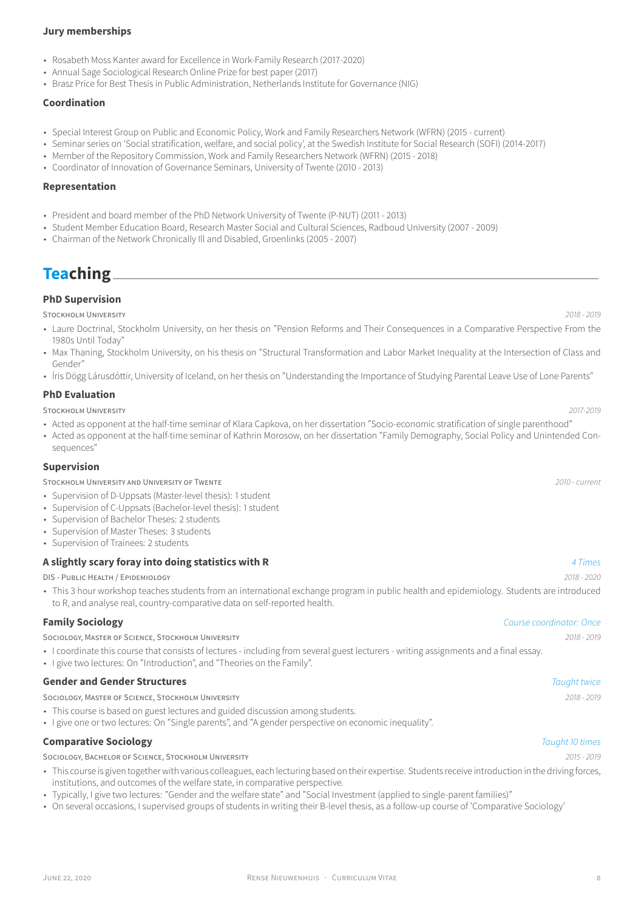### **Jury memberships**

- Rosabeth Moss Kanter award for Excellence in Work-Family Research (2017-2020)
- Annual Sage Sociological Research Online Prize for best paper (2017)
- Brasz Price for Best Thesis in Public Administration, Netherlands Institute for Governance (NIG)

### **Coordination**

- Special Interest Group on Public and Economic Policy, Work and Family Researchers Network (WFRN) (2015 current)
- Seminar series on 'Social stratification, welfare, and social policy', at the Swedish Institute for Social Research (SOFI) (2014-2017)
- Member of the Repository Commission, Work and Family Researchers Network (WFRN) (2015 2018)
- Coordinator of Innovation of Governance Seminars, University of Twente (2010 2013)

#### **Representation**

- President and board member of the PhD Network University of Twente (P-NUT) (2011 2013)
- Student Member Education Board, Research Master Social and Cultural Sciences, Radboud University (2007 2009)
- Chairman of the Network Chronically Ill and Disabled, Groenlinks (2005 2007)

## **Teaching**

### **PhD Supervision**

STOCKHOLM UNIVERSITY *2018 - 2019*

- Laure Doctrinal, Stockholm University, on her thesis on "Pension Reforms and Their Consequences in a Comparative Perspective From the 1980s Until Today"
- Max Thaning, Stockholm University, on his thesis on "Structural Transformation and Labor Market Inequality at the Intersection of Class and Gender"
- Íris Dögg Lárusdóttir, University of Iceland, on her thesis on "Understanding the Importance of Studying Parental Leave Use of Lone Parents"

#### **PhD Evaluation**

#### STOCKHOLM UNIVERSITY *2017-2019*

- Acted as opponent at the half-time seminar of Klara Capkova, on her dissertation "Socio-economic stratification of single parenthood"
- Acted as opponent at the half-time seminar of Kathrin Morosow, on her dissertation "Family Demography, Social Policy and Unintended Consequences"

#### **Supervision**

STOCKHOLM UNIVERSITY AND UNIVERSITY OF TWENTE *2010 - current*

- Supervision of D-Uppsats (Master-level thesis): 1 student
- Supervision of C-Uppsats (Bachelor-level thesis): 1 student
- Supervision of Bachelor Theses: 2 students
- Supervision of Master Theses: 3 students
- Supervision of Trainees: 2 students

#### **A slightly scary foray into doing statistics with R** *4 Times*

DIS - PUBLIC HEALTH / EPIDEMIOLOGY *2018 - 2020*

• This 3 hour workshop teaches students from an international exchange program in public health and epidemiology. Students are introduced to R, and analyse real, country-comparative data on self-reported health.

### **Family Sociology** *Course coordinator: Once*

SOCIOLOGY, MASTER OF SCIENCE, STOCKHOLM UNIVERSITY *2018 - 2019*

- I coordinate this course that consists of lectures including from several guest lecturers writing assignments and a final essay.
- I give two lectures: On "Introduction", and "Theories on the Family".

### **Gender and Gender Structures** *Taught twice*

SOCIOLOGY, MASTER OF SCIENCE, STOCKHOLM UNIVERSITY *2018 - 2019*

- This course is based on guest lectures and guided discussion among students.
- I give one or two lectures: On "Single parents", and "A gender perspective on economic inequality".

## **Comparative Sociology** *Taught 10 times*

SOCIOLOGY, BACHELOR OF SCIENCE, STOCKHOLM UNIVERSITY *2015 - 2019*

- This course is given together with various colleagues, each lecturing based on their expertise. Students receive introduction in the driving forces, institutions, and outcomes of the welfare state, in comparative perspective.
- Typically, I give two lectures: "Gender and the welfare state" and "Social Investment (applied to single-parent families)"
- On several occasions, I supervised groups of students in writing their B-level thesis, as a follow-up course of 'Comparative Sociology'